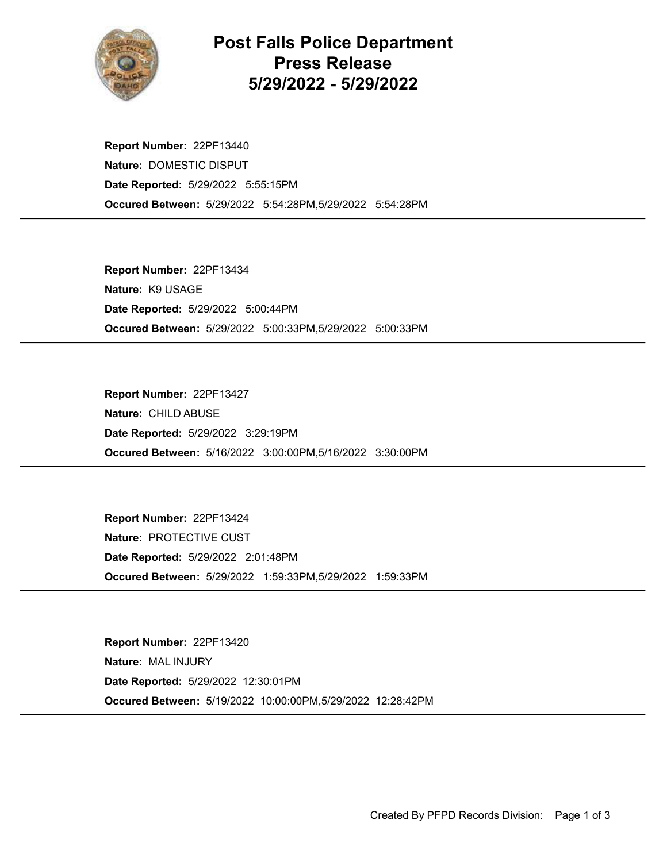

## Post Falls Police Department Press Release 5/29/2022 - 5/29/2022

Occured Between: 5/29/2022 5:54:28PM,5/29/2022 5:54:28PM Report Number: 22PF13440 Nature: DOMESTIC DISPUT Date Reported: 5/29/2022 5:55:15PM

Occured Between: 5/29/2022 5:00:33PM,5/29/2022 5:00:33PM Report Number: 22PF13434 Nature: K9 USAGE Date Reported: 5/29/2022 5:00:44PM

Occured Between: 5/16/2022 3:00:00PM,5/16/2022 3:30:00PM Report Number: 22PF13427 Nature: CHILD ABUSE Date Reported: 5/29/2022 3:29:19PM

Occured Between: 5/29/2022 1:59:33PM,5/29/2022 1:59:33PM Report Number: 22PF13424 Nature: PROTECTIVE CUST Date Reported: 5/29/2022 2:01:48PM

Occured Between: 5/19/2022 10:00:00PM,5/29/2022 12:28:42PM Report Number: 22PF13420 Nature: MAL INJURY Date Reported: 5/29/2022 12:30:01PM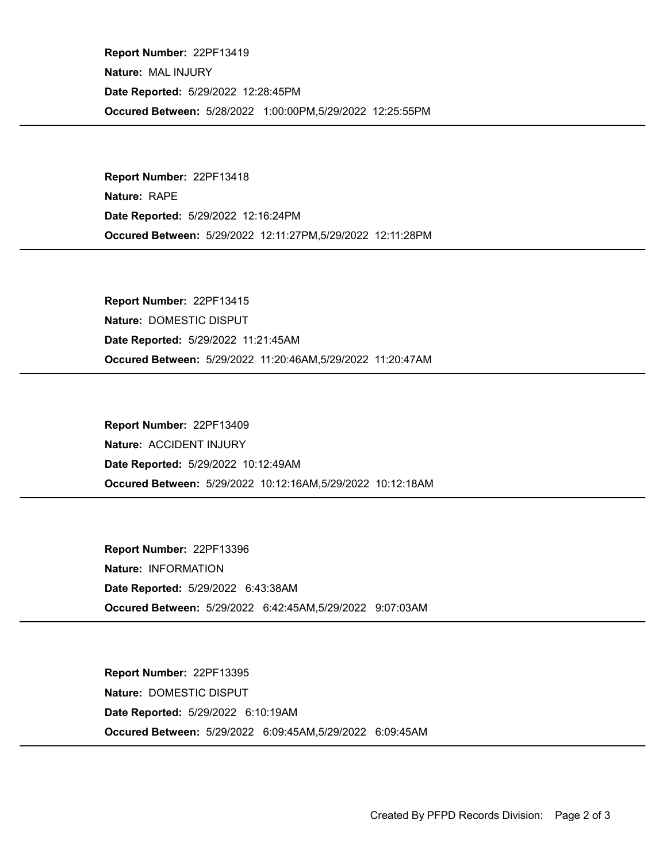Occured Between: 5/28/2022 1:00:00PM,5/29/2022 12:25:55PM Report Number: 22PF13419 Nature: MAL INJURY Date Reported: 5/29/2022 12:28:45PM

Occured Between: 5/29/2022 12:11:27PM,5/29/2022 12:11:28PM Report Number: 22PF13418 Nature: RAPE Date Reported: 5/29/2022 12:16:24PM

Occured Between: 5/29/2022 11:20:46AM,5/29/2022 11:20:47AM Report Number: 22PF13415 Nature: DOMESTIC DISPUT Date Reported: 5/29/2022 11:21:45AM

Occured Between: 5/29/2022 10:12:16AM,5/29/2022 10:12:18AM Report Number: 22PF13409 Nature: ACCIDENT INJURY Date Reported: 5/29/2022 10:12:49AM

Occured Between: 5/29/2022 6:42:45AM,5/29/2022 9:07:03AM Report Number: 22PF13396 Nature: INFORMATION Date Reported: 5/29/2022 6:43:38AM

Occured Between: 5/29/2022 6:09:45AM,5/29/2022 6:09:45AM Report Number: 22PF13395 Nature: DOMESTIC DISPUT Date Reported: 5/29/2022 6:10:19AM